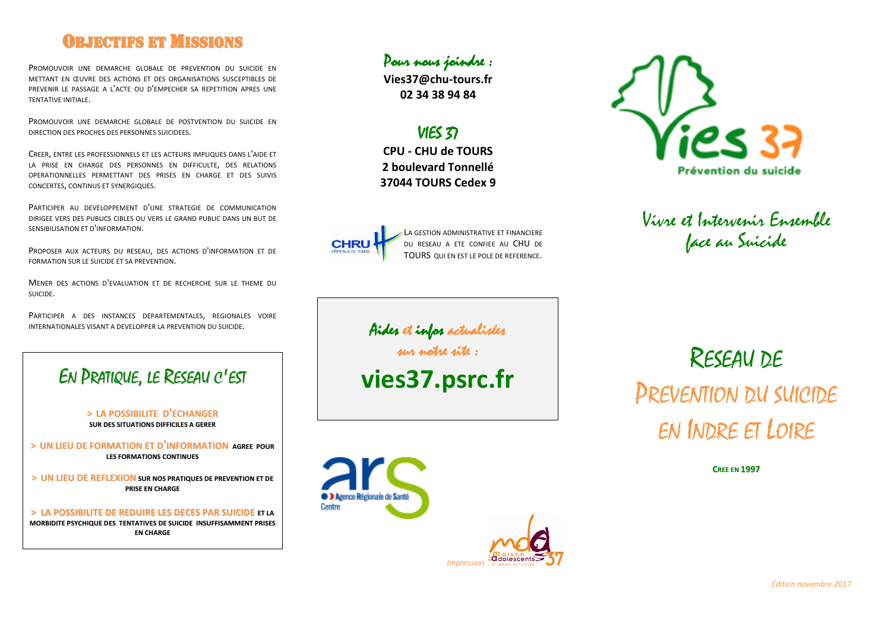# **OBJECTIFS ET MISSIONS**

PROMOUVOIR UNE DEMARCHE GLOBALE DE PREVENTION DU SUICIDE EN METTANT EN ŒUVRE DES ACTIONS ET DES ORGANISATIONS SUSCEPTIBLES DE PREVENIR LE PASSAGE A L'ACTE OU D'EMPECHER SA REPETITION APRES UNE TENTATIVE INITIALE.

PROMOUVOIR UNE DEMARCHE GLOBALE DE POSTVENTION DU SUICIDE EN DIRECTION DES PROCHES DES PERSONNES SUICIDEES.

CREER, ENTRE LES PROFESSIONNELS ET LES ACTEURS IMPLIQUES DANS L'AIDE ET LA PRISE EN CHARGE DES PERSONNES EN DIFFICULTE, DES RELATIONS OPERATIONNELLES PERMETTANT DES PRISES EN CHARGE ET DES SUIVIS CONCERTES, CONTINUS ET SYNERGIQUES.

PARTICIPER AU DEVELOPPEMENT D'UNE STRATEGIE DE COMMUNICATION DIRIGEE VERS DES PUBLICS CIBLES OU VERS LE GRAND PUBLIC DANS UN BUT DE SENSIBILISATION ET D'INFORMATION.

PROPOSER AUX ACTEURS DU RESEAU, DES ACTIONS D'INFORMATION ET DE FORMATION SUR LE SUICIDE ET SA PREVENTION.

MENER DES ACTIONS D'EVALUATION ET DE RECHERCHE SUR LE THEME DU SUICIDE.

PARTICIPER A DES INSTANCES DEPARTEMENTALES, REGIONALES VOIRE INTERNATIONALES VISANT A DEVELOPPER LA PREVENTION DU SUICIDE.

# EN PRATIQUE, LE RESEAU C'EST

#### **> LA POSSIBILITE D'ECHANGER SUR DES SITUATIONS DIFFICILES A GERER**

**> UN LIEU DE FORMATION ET D'INFORMATION AGREE POUR LES FORMATIONS CONTINUES**

**> UN LIEU DE REFLEXION SUR NOS PRATIQUES DE PREVENTION ET DE PRISE EN CHARGE**

**> LA POSSIBILITE DE REDUIRE LES DECES PAR SUICIDE ET LA MORBIDITE PSYCHIQUE DES TENTATIVES DE SUICIDE INSUFFISAMMENT PRISES EN CHARGE**

#### Pour nous joindre :

**Vies37@chu-tours.fr 02 34 38 94 84**

# VIES 37

**CPU - CHU de TOURS 2 boulevard Tonnellé 37044 TOURS Cedex 9**



**D** Agence Régionale de Santé

Centre

LA GESTION ADMINISTRATIVE ET FINANCIERE DU RESEAU A ETE CONFIEE AU CHU DE TOURS OUI EN EST LE POLE DE REFERENCE.



Vivre et Intervenir Ensemble face au Suicide

Aides et infos actualisées

sur notre site :

*Impression*

**d**dolescents

**vies37.psrc.fr**

# RESEAU DE PREVENTION DU SUICIDE EN INDRE ET LOIRE

**CREE EN 1997**